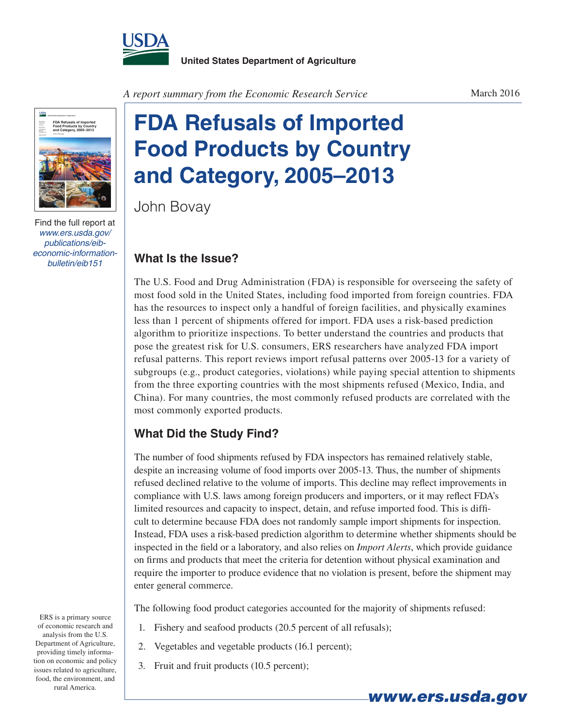



Find the full report at *www.ers.usda.gov/ publications/eibeconomic-information-*

*A report summary from the Economic Research Service*

## **FDA Refusals of Imported Food Products by Country and Category, 2005–2013**

John Bovay

## *bulletin/eib151* **What Is the Issue?**

The U.S. Food and Drug Administration (FDA) is responsible for overseeing the safety of most food sold in the United States, including food imported from foreign countries. FDA has the resources to inspect only a handful of foreign facilities, and physically examines less than 1 percent of shipments offered for import. FDA uses a risk-based prediction algorithm to prioritize inspections. To better understand the countries and products that pose the greatest risk for U.S. consumers, ERS researchers have analyzed FDA import refusal patterns. This report reviews import refusal patterns over 2005-13 for a variety of subgroups (e.g., product categories, violations) while paying special attention to shipments from the three exporting countries with the most shipments refused (Mexico, India, and China). For many countries, the most commonly refused products are correlated with the most commonly exported products.

## **What Did the Study Find?**

The number of food shipments refused by FDA inspectors has remained relatively stable, despite an increasing volume of food imports over 2005-13. Thus, the number of shipments refused declined relative to the volume of imports. This decline may reflect improvements in compliance with U.S. laws among foreign producers and importers, or it may reflect FDA's limited resources and capacity to inspect, detain, and refuse imported food. This is difficult to determine because FDA does not randomly sample import shipments for inspection. Instead, FDA uses a risk-based prediction algorithm to determine whether shipments should be inspected in the field or a laboratory, and also relies on *Import Alerts*, which provide guidance on firms and products that meet the criteria for detention without physical examination and require the importer to produce evidence that no violation is present, before the shipment may enter general commerce.

The following food product categories accounted for the majority of shipments refused:

*www.ers.usda.gov*

- 1. Fishery and seafood products (20.5 percent of all refusals);
- 2. Vegetables and vegetable products (16.1 percent);
- 3. Fruit and fruit products (10.5 percent);

ERS is a primary source of economic research and analysis from the U.S. Department of Agriculture, providing timely information on economic and policy issues related to agriculture, food, the environment, and rural America.